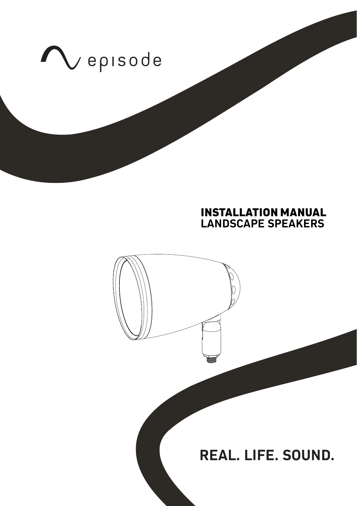

# **INSTALLATION MANUAL LANDSCAPE SPEAKERS**

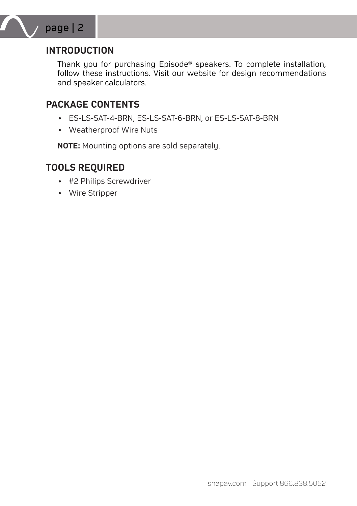

# **INTRODUCTION**

Thank you for purchasing Episode® speakers. To complete installation, follow these instructions. Visit our website for design recommendations and speaker calculators.

## **PACKAGE CONTENTS**

- ES-LS-SAT-4-BRN, ES-LS-SAT-6-BRN, or ES-LS-SAT-8-BRN
- Weatherproof Wire Nuts

**NOTE:** Mounting options are sold separately.

## **TOOLS REQUIRED**

- #2 Philips Screwdriver
- Wire Stripper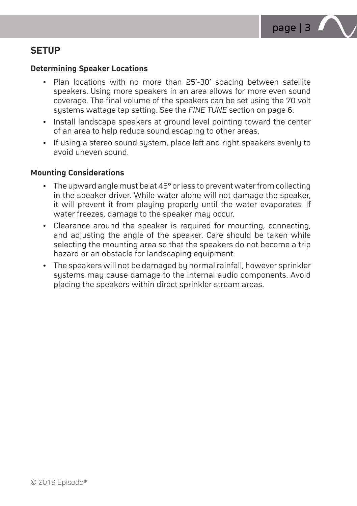

# **SETUP**

### **Determining Speaker Locations**

- Plan locations with no more than 25'-30' spacing between satellite speakers. Using more speakers in an area allows for more even sound coverage. The final volume of the speakers can be set using the 70 volt systems wattage tap setting. See the *FINE TUNE* section on page 6.
- Install landscape speakers at ground level pointing toward the center of an area to help reduce sound escaping to other areas.
- If using a stereo sound system, place left and right speakers evenly to avoid uneven sound.

### **Mounting Considerations**

- The upward angle must be at 45° or less to prevent water from collecting in the speaker driver. While water alone will not damage the speaker, it will prevent it from playing properly until the water evaporates. If water freezes, damage to the speaker may occur.
- Clearance around the speaker is required for mounting, connecting, and adjusting the angle of the speaker. Care should be taken while selecting the mounting area so that the speakers do not become a trip hazard or an obstacle for landscaping equipment.
- The speakers will not be damaged by normal rainfall, however sprinkler systems may cause damage to the internal audio components. Avoid placing the speakers within direct sprinkler stream areas.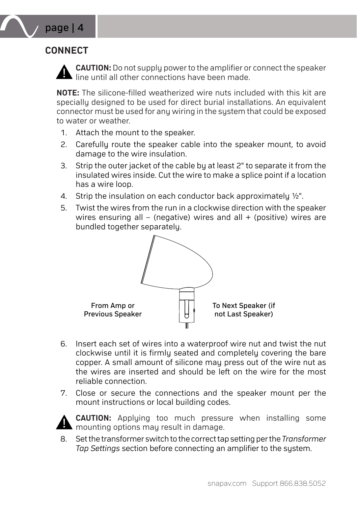# **CONNECT**

page | 4



**CAUTION:** Do not supply power to the amplifier or connect the speaker  $\blacksquare$  line until all other connections have been made.

**NOTE:** The silicone-filled weatherized wire nuts included with this kit are specially designed to be used for direct burial installations. An equivalent connector must be used for any wiring in the sustem that could be exposed to water or weather.

- 1. Attach the mount to the speaker.
- 2. Carefully route the speaker cable into the speaker mount, to avoid damage to the wire insulation.
- 3. Strip the outer jacket of the cable by at least 2" to separate it from the insulated wires inside. Cut the wire to make a splice point if a location has a wire loop.
- 4. Strip the insulation on each conductor back approximately ½".
- 5. Twist the wires from the run in a clockwise direction with the speaker wires ensuring all – (negative) wires and all  $+$  (positive) wires are bundled together separately.



- <sup>+</sup> <sup>+</sup> <sup>−</sup> 6. Insert each set of wires into a waterproof wire nut and twist the nut <sup>−</sup> clockwise until it is firmly seated and completely covering the bare copper. A small amount of silicone may press out of the wire nut as the wires are inserted and should be left on the wire for the most reliable connection.
- 7. Close or secure the connections and the speaker mount per the mount instructions or local building codes.



**CAUTION:** Applying too much pressure when installing some **A** mounting options may result in damage.

8. Set the transformer switch to the correct tap setting per the *Transformer Tap Settings* section before connecting an amplifier to the system.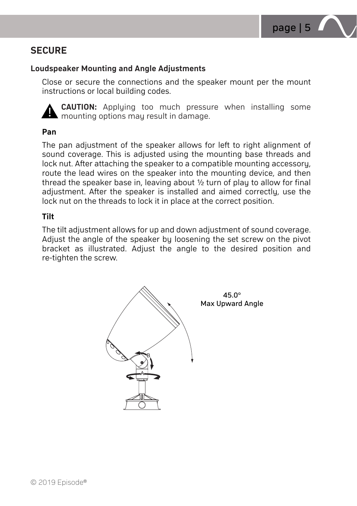

# **SECURE**

### **Loudspeaker Mounting and Angle Adjustments**

Close or secure the connections and the speaker mount per the mount instructions or local building codes.



**CAUTION:** Applying too much pressure when installing some **M** mounting options may result in damage.

#### **Pan**

The pan adjustment of the speaker allows for left to right alignment of sound coverage. This is adjusted using the mounting base threads and lock nut. After attaching the speaker to a compatible mounting accessory, route the lead wires on the speaker into the mounting device, and then thread the speaker base in, leaving about ½ turn of play to allow for final adjustment. After the speaker is installed and aimed correctly, use the lock nut on the threads to lock it in place at the correct position.

#### **Tilt**

The tilt adjustment allows for up and down adjustment of sound coverage. Adjust the angle of the speaker by loosening the set screw on the pivot bracket as illustrated. Adjust the angle to the desired position and re-tighten the screw.

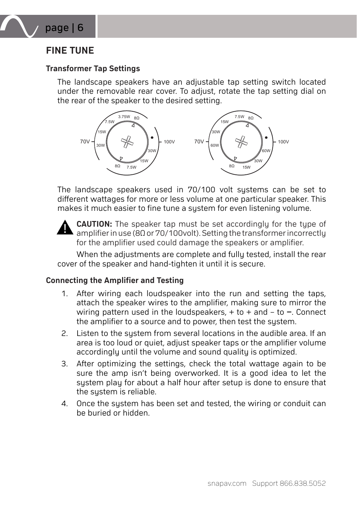

# **FINE TUNE**

### **Transformer Tap Settings**

The landscape speakers have an adjustable tap setting switch located under the removable rear cover. To adjust, rotate the tap setting dial on the rear of the speaker to the desired setting.



The landscape speakers used in 70/100 volt systems can be set to different wattages for more or less volume at one particular speaker. This makes it much easier to fine tune a sustem for even listening volume.



**CAUTION:** The speaker tap must be set accordingly for the type of amplifier in use (8Ω or 70/100volt). Setting the transformer incorrectly for the amplifier used could damage the speakers or amplifier.

When the adjustments are complete and fully tested, install the rear cover of the speaker and hand-tighten it until it is secure.

#### **Connecting the Amplifier and Testing**

- 1. After wiring each loudspeaker into the run and setting the taps, attach the speaker wires to the amplifier, making sure to mirror the wiring pattern used in the loudspeakers, + to + and – to **‒**. Connect the amplifier to a source and to power, then test the system.
- 2. Listen to the sustem from several locations in the audible area. If an area is too loud or quiet, adjust speaker taps or the amplifier volume accordingly until the volume and sound quality is optimized.
- 3. After optimizing the settings, check the total wattage again to be sure the amp isn't being overworked. It is a good idea to let the system play for about a half hour after setup is done to ensure that the sustem is reliable.
- 4. Once the system has been set and tested, the wiring or conduit can be buried or hidden.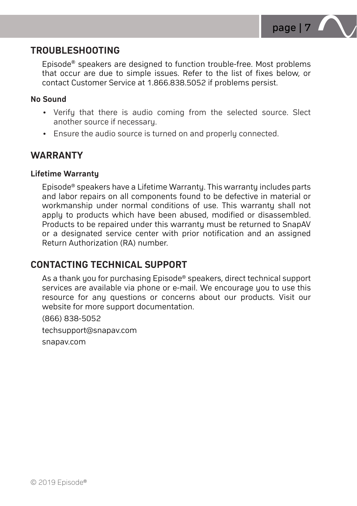

## **TROUBLESHOOTING**

Episode® speakers are designed to function trouble-free. Most problems that occur are due to simple issues. Refer to the list of fixes below, or contact Customer Service at 1.866.838.5052 if problems persist.

### **No Sound**

- Verify that there is audio coming from the selected source. Slect another source if necessary.
- Ensure the audio source is turned on and properly connected.

## **WARRANTY**

### **Lifetime Warranty**

Episode® speakers have a Lifetime Warranty. This warranty includes parts and labor repairs on all components found to be defective in material or workmanship under normal conditions of use. This warranty shall not apply to products which have been abused, modified or disassembled. Products to be repaired under this warranty must be returned to SnapAV or a designated service center with prior notification and an assigned Return Authorization (RA) number.

## **CONTACTING TECHNICAL SUPPORT**

As a thank you for purchasing Episode® speakers, direct technical support services are available via phone or e-mail. We encourage you to use this resource for any questions or concerns about our products. Visit our website for more support documentation.

(866) 838-5052

techsupport@snapav.com

snapav.com